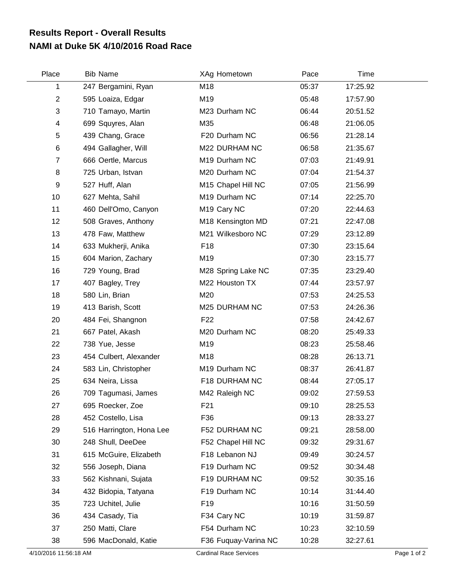## **NAMI at Duke 5K 4/10/2016 Road Race Results Report - Overall Results**

| Place                 | <b>Bib Name</b>          | XAg Hometown                  | Pace  | <b>Time</b> |             |
|-----------------------|--------------------------|-------------------------------|-------|-------------|-------------|
| 1                     | 247 Bergamini, Ryan      | M18                           | 05:37 | 17:25.92    |             |
| $\overline{2}$        | 595 Loaiza, Edgar        | M19                           | 05:48 | 17:57.90    |             |
| 3                     | 710 Tamayo, Martin       | M23 Durham NC                 | 06:44 | 20:51.52    |             |
| 4                     | 699 Squyres, Alan        | M35                           | 06:48 | 21:06.05    |             |
| 5                     | 439 Chang, Grace         | F20 Durham NC                 | 06:56 | 21:28.14    |             |
| 6                     | 494 Gallagher, Will      | M22 DURHAM NC                 | 06:58 | 21:35.67    |             |
| $\overline{7}$        | 666 Oertle, Marcus       | M19 Durham NC                 | 07:03 | 21:49.91    |             |
| 8                     | 725 Urban, Istvan        | M20 Durham NC                 | 07:04 | 21:54.37    |             |
| 9                     | 527 Huff, Alan           | M15 Chapel Hill NC            | 07:05 | 21:56.99    |             |
| 10                    | 627 Mehta, Sahil         | M19 Durham NC                 | 07:14 | 22:25.70    |             |
| 11                    | 460 Dell'Omo, Canyon     | M <sub>19</sub> Cary NC       | 07:20 | 22:44.63    |             |
| 12                    | 508 Graves, Anthony      | M18 Kensington MD             | 07:21 | 22:47.08    |             |
| 13                    | 478 Faw, Matthew         | M21 Wilkesboro NC             | 07:29 | 23:12.89    |             |
| 14                    | 633 Mukherji, Anika      | F <sub>18</sub>               | 07:30 | 23:15.64    |             |
| 15                    | 604 Marion, Zachary      | M19                           | 07:30 | 23:15.77    |             |
| 16                    | 729 Young, Brad          | M28 Spring Lake NC            | 07:35 | 23:29.40    |             |
| 17                    | 407 Bagley, Trey         | M22 Houston TX                | 07:44 | 23:57.97    |             |
| 18                    | 580 Lin, Brian           | M20                           | 07:53 | 24:25.53    |             |
| 19                    | 413 Barish, Scott        | M25 DURHAM NC                 | 07:53 | 24:26.36    |             |
| 20                    | 484 Fei, Shangnon        | F <sub>22</sub>               | 07:58 | 24:42.67    |             |
| 21                    | 667 Patel, Akash         | M20 Durham NC                 | 08:20 | 25:49.33    |             |
| 22                    | 738 Yue, Jesse           | M19                           | 08:23 | 25:58.46    |             |
| 23                    | 454 Culbert, Alexander   | M18                           | 08:28 | 26:13.71    |             |
| 24                    | 583 Lin, Christopher     | M19 Durham NC                 | 08:37 | 26:41.87    |             |
| 25                    | 634 Neira, Lissa         | F18 DURHAM NC                 | 08:44 | 27:05.17    |             |
| 26                    | 709 Tagumasi, James      | M42 Raleigh NC                | 09:02 | 27:59.53    |             |
| 27                    | 695 Roecker, Zoe         | F21                           | 09:10 | 28:25.53    |             |
| 28                    | 452 Costello, Lisa       | F36                           | 09:13 | 28:33.27    |             |
| 29                    | 516 Harrington, Hona Lee | F52 DURHAM NC                 | 09:21 | 28:58.00    |             |
| 30                    | 248 Shull, DeeDee        | F52 Chapel Hill NC            | 09:32 | 29:31.67    |             |
| 31                    | 615 McGuire, Elizabeth   | F18 Lebanon NJ                | 09:49 | 30:24.57    |             |
| 32                    | 556 Joseph, Diana        | F19 Durham NC                 | 09:52 | 30:34.48    |             |
| 33                    | 562 Kishnani, Sujata     | F19 DURHAM NC                 | 09:52 | 30:35.16    |             |
| 34                    | 432 Bidopia, Tatyana     | F19 Durham NC                 | 10:14 | 31:44.40    |             |
| 35                    | 723 Uchitel, Julie       | F <sub>19</sub>               | 10:16 | 31:50.59    |             |
| 36                    | 434 Casady, Tia          | F34 Cary NC                   | 10:19 | 31:59.87    |             |
| 37                    | 250 Matti, Clare         | F54 Durham NC                 | 10:23 | 32:10.59    |             |
| 38                    | 596 MacDonald, Katie     | F36 Fuquay-Varina NC          | 10:28 | 32:27.61    |             |
| 4/10/2016 11:56:18 AM |                          | <b>Cardinal Race Services</b> |       |             | Page 1 of 2 |